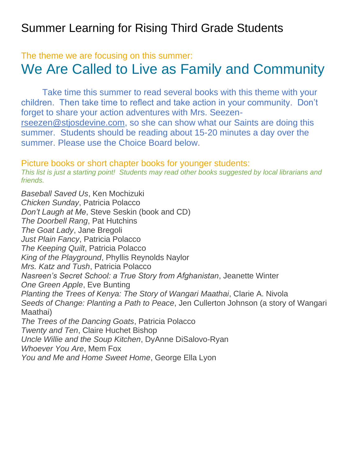## Summer Learning for Rising Third Grade Students

## The theme we are focusing on this summer: We Are Called to Live as Family and Community

Take time this summer to read several books with this theme with your children. Then take time to reflect and take action in your community. Don't forget to share your action adventures with Mrs. Seezen[rseezen@stjosdevine.com,](mailto:rseezen@stjosdevine.com) so she can show what our Saints are doing this summer. Students should be reading about 15-20 minutes a day over the summer. Please use the Choice Board below.

## Picture books or short chapter books for younger students:

*This list is just a starting point! Students may read other books suggested by local librarians and friends.*

*Baseball Saved Us*, Ken Mochizuki *Chicken Sunday*, Patricia Polacco *Don't Laugh at Me*, Steve Seskin (book and CD) *The Doorbell Rang*, Pat Hutchins *The Goat Lady*, Jane Bregoli *Just Plain Fancy*, Patricia Polacco *The Keeping Quilt*, Patricia Polacco *King of the Playground*, Phyllis Reynolds Naylor *Mrs. Katz and Tush*, Patricia Polacco *Nasreen's Secret School: a True Story from Afghanistan*, Jeanette Winter *One Green Apple*, Eve Bunting *Planting the Trees of Kenya: The Story of Wangari Maathai*, Clarie A. Nivola *Seeds of Change: Planting a Path to Peace*, Jen Cullerton Johnson (a story of Wangari Maathai) *The Trees of the Dancing Goats*, Patricia Polacco *Twenty and Ten*, Claire Huchet Bishop *Uncle Willie and the Soup Kitchen*, DyAnne DiSalovo-Ryan *Whoever You Are*, Mem Fox

*You and Me and Home Sweet Home*, George Ella Lyon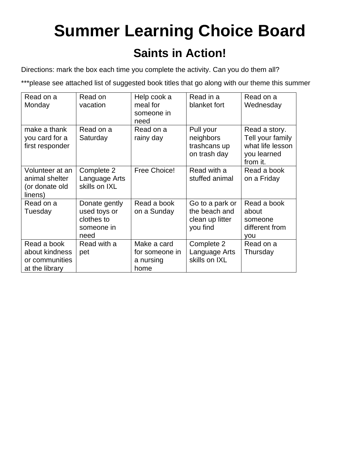## **Summer Learning Choice Board Saints in Action!**

Directions: mark the box each time you complete the activity. Can you do them all?

\*\*\*please see attached list of suggested book titles that go along with our theme this summer

| Read on a<br>Monday                                               | Read on<br>vacation                                               | Help cook a<br>meal for<br>someone in<br>need      | Read in a<br>blanket fort                                       | Read on a<br>Wednesday                                                           |
|-------------------------------------------------------------------|-------------------------------------------------------------------|----------------------------------------------------|-----------------------------------------------------------------|----------------------------------------------------------------------------------|
| make a thank<br>you card for a<br>first responder                 | Read on a<br>Saturday                                             | Read on a<br>rainy day                             | Pull your<br>neighbors<br>trashcans up<br>on trash day          | Read a story.<br>Tell your family<br>what life lesson<br>you learned<br>from it. |
| Volunteer at an<br>animal shelter<br>(or donate old<br>linens)    | Complete 2<br>Language Arts<br>skills on IXL                      | Free Choice!                                       | Read with a<br>stuffed animal                                   | Read a book<br>on a Friday                                                       |
| Read on a<br>Tuesday                                              | Donate gently<br>used toys or<br>clothes to<br>someone in<br>need | Read a book<br>on a Sunday                         | Go to a park or<br>the beach and<br>clean up litter<br>you find | Read a book<br>about<br>someone<br>different from<br>you                         |
| Read a book<br>about kindness<br>or communities<br>at the library | Read with a<br>pet                                                | Make a card<br>for someone in<br>a nursing<br>home | Complete 2<br>Language Arts<br>skills on IXL                    | Read on a<br>Thursday                                                            |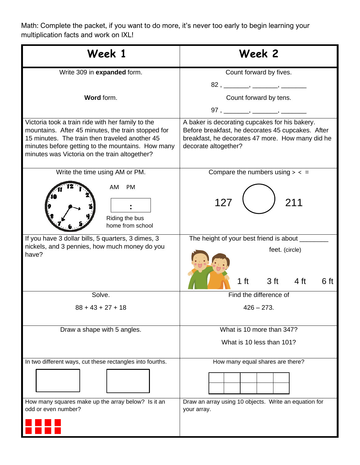Math: Complete the packet, if you want to do more, it's never too early to begin learning your multiplication facts and work on IXL!

| Week 1                                                                                                                                                                                                                                                          | Week 2                                                                                                                                                                                                                                                                                                                                                                                                                                                                                                                                                                                                                                       |
|-----------------------------------------------------------------------------------------------------------------------------------------------------------------------------------------------------------------------------------------------------------------|----------------------------------------------------------------------------------------------------------------------------------------------------------------------------------------------------------------------------------------------------------------------------------------------------------------------------------------------------------------------------------------------------------------------------------------------------------------------------------------------------------------------------------------------------------------------------------------------------------------------------------------------|
| Write 309 in expanded form.                                                                                                                                                                                                                                     | Count forward by fives.<br>$82, \underline{\hspace{1cm}} , \underline{\hspace{1cm}} , \underline{\hspace{1cm}} , \underline{\hspace{1cm}} , \underline{\hspace{1cm}} , \underline{\hspace{1cm}} , \underline{\hspace{1cm}} , \underline{\hspace{1cm}} , \underline{\hspace{1cm}} , \underline{\hspace{1cm}} , \underline{\hspace{1cm}} , \underline{\hspace{1cm}} , \underline{\hspace{1cm}} , \underline{\hspace{1cm}} , \underline{\hspace{1cm}} , \underline{\hspace{1cm}} , \underline{\hspace{1cm}} , \underline{\hspace{1cm}} , \underline{\hspace{1cm}} , \underline{\hspace{1cm}} , \underline{\hspace{1cm}} , \underline{\hspace{1$ |
| Word form.                                                                                                                                                                                                                                                      | Count forward by tens.                                                                                                                                                                                                                                                                                                                                                                                                                                                                                                                                                                                                                       |
| Victoria took a train ride with her family to the<br>mountains. After 45 minutes, the train stopped for<br>15 minutes. The train then traveled another 45<br>minutes before getting to the mountains. How many<br>minutes was Victoria on the train altogether? | A baker is decorating cupcakes for his bakery.<br>Before breakfast, he decorates 45 cupcakes. After<br>breakfast, he decorates 47 more. How many did he<br>decorate altogether?                                                                                                                                                                                                                                                                                                                                                                                                                                                              |
| Write the time using AM or PM.                                                                                                                                                                                                                                  | Compare the numbers using $>$ < =                                                                                                                                                                                                                                                                                                                                                                                                                                                                                                                                                                                                            |
| <b>PM</b><br>AM.<br>Riding the bus<br>home from school                                                                                                                                                                                                          | 127<br>211                                                                                                                                                                                                                                                                                                                                                                                                                                                                                                                                                                                                                                   |
| If you have 3 dollar bills, 5 quarters, 3 dimes, 3<br>nickels, and 3 pennies, how much money do you<br>have?                                                                                                                                                    | The height of your best friend is about ____<br>feet. (circle)<br>3 <sub>ft</sub><br>1 ft<br>4 <sub>ft</sub><br>6 ft                                                                                                                                                                                                                                                                                                                                                                                                                                                                                                                         |
| Solve.                                                                                                                                                                                                                                                          | Find the difference of                                                                                                                                                                                                                                                                                                                                                                                                                                                                                                                                                                                                                       |
| $88 + 43 + 27 + 18$                                                                                                                                                                                                                                             | $426 - 273.$                                                                                                                                                                                                                                                                                                                                                                                                                                                                                                                                                                                                                                 |
| Draw a shape with 5 angles.                                                                                                                                                                                                                                     | What is 10 more than 347?<br>What is 10 less than 101?                                                                                                                                                                                                                                                                                                                                                                                                                                                                                                                                                                                       |
| In two different ways, cut these rectangles into fourths.                                                                                                                                                                                                       | How many equal shares are there?                                                                                                                                                                                                                                                                                                                                                                                                                                                                                                                                                                                                             |
|                                                                                                                                                                                                                                                                 |                                                                                                                                                                                                                                                                                                                                                                                                                                                                                                                                                                                                                                              |
| How many squares make up the array below? Is it an<br>odd or even number?                                                                                                                                                                                       | Draw an array using 10 objects. Write an equation for<br>your array.                                                                                                                                                                                                                                                                                                                                                                                                                                                                                                                                                                         |
|                                                                                                                                                                                                                                                                 |                                                                                                                                                                                                                                                                                                                                                                                                                                                                                                                                                                                                                                              |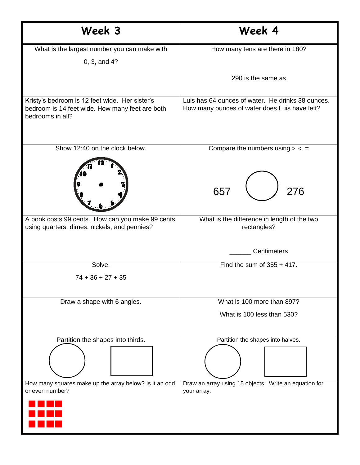| Week 3                                                                                                                | Week 4                                                                                             |  |
|-----------------------------------------------------------------------------------------------------------------------|----------------------------------------------------------------------------------------------------|--|
| What is the largest number you can make with<br>0, 3, and 4?                                                          | How many tens are there in 180?                                                                    |  |
|                                                                                                                       | 290 is the same as                                                                                 |  |
| Kristy's bedroom is 12 feet wide. Her sister's<br>bedroom is 14 feet wide. How many feet are both<br>bedrooms in all? | Luis has 64 ounces of water. He drinks 38 ounces.<br>How many ounces of water does Luis have left? |  |
| Show 12:40 on the clock below.                                                                                        | Compare the numbers using $>$ < $=$<br>657<br>276                                                  |  |
| A book costs 99 cents. How can you make 99 cents<br>using quarters, dimes, nickels, and pennies?                      | What is the difference in length of the two<br>rectangles?                                         |  |
|                                                                                                                       | <b>Centimeters</b>                                                                                 |  |
| Solve.<br>$74 + 36 + 27 + 35$                                                                                         | Find the sum of $355 + 417$ .                                                                      |  |
| Draw a shape with 6 angles.                                                                                           | What is 100 more than 897?<br>What is 100 less than 530?                                           |  |
| Partition the shapes into thirds.                                                                                     | Partition the shapes into halves.                                                                  |  |
| How many squares make up the array below? Is it an odd<br>or even number?                                             | Draw an array using 15 objects. Write an equation for<br>your array.                               |  |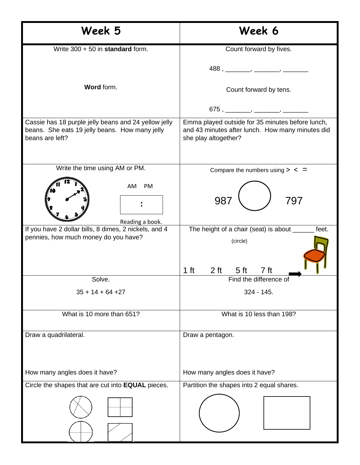| Week 5                                                                                                                    | Week 6                                                                                                                       |  |
|---------------------------------------------------------------------------------------------------------------------------|------------------------------------------------------------------------------------------------------------------------------|--|
| Write 300 + 50 in standard form.                                                                                          | Count forward by fives.                                                                                                      |  |
|                                                                                                                           |                                                                                                                              |  |
| Word form.                                                                                                                | Count forward by tens.                                                                                                       |  |
|                                                                                                                           | $675,$ $\frac{1}{1000}$ , $\frac{1}{1000}$                                                                                   |  |
| Cassie has 18 purple jelly beans and 24 yellow jelly<br>beans. She eats 19 jelly beans. How many jelly<br>beans are left? | Emma played outside for 35 minutes before lunch,<br>and 43 minutes after lunch. How many minutes did<br>she play altogether? |  |
| Write the time using AM or PM.                                                                                            | Compare the numbers using $>$ < $=$                                                                                          |  |
| PM<br>AM<br>Reading a book.                                                                                               | 987<br>797                                                                                                                   |  |
| If you have 2 dollar bills, 8 dimes, 2 nickels, and 4<br>pennies, how much money do you have?                             | The height of a chair (seat) is about ______<br>feet.<br>(circle)<br>$1$ ft<br>5 <sup>ft</sup><br>7 <sub>ft</sub><br>$2$ ft  |  |
| Solve.                                                                                                                    | Find the difference of                                                                                                       |  |
| $35 + 14 + 64 + 27$                                                                                                       | $324 - 145.$                                                                                                                 |  |
| What is 10 more than 651?                                                                                                 | What is 10 less than 198?                                                                                                    |  |
| Draw a quadrilateral.                                                                                                     | Draw a pentagon.                                                                                                             |  |
| How many angles does it have?                                                                                             | How many angles does it have?                                                                                                |  |
| Circle the shapes that are cut into EQUAL pieces.                                                                         | Partition the shapes into 2 equal shares.                                                                                    |  |
|                                                                                                                           |                                                                                                                              |  |